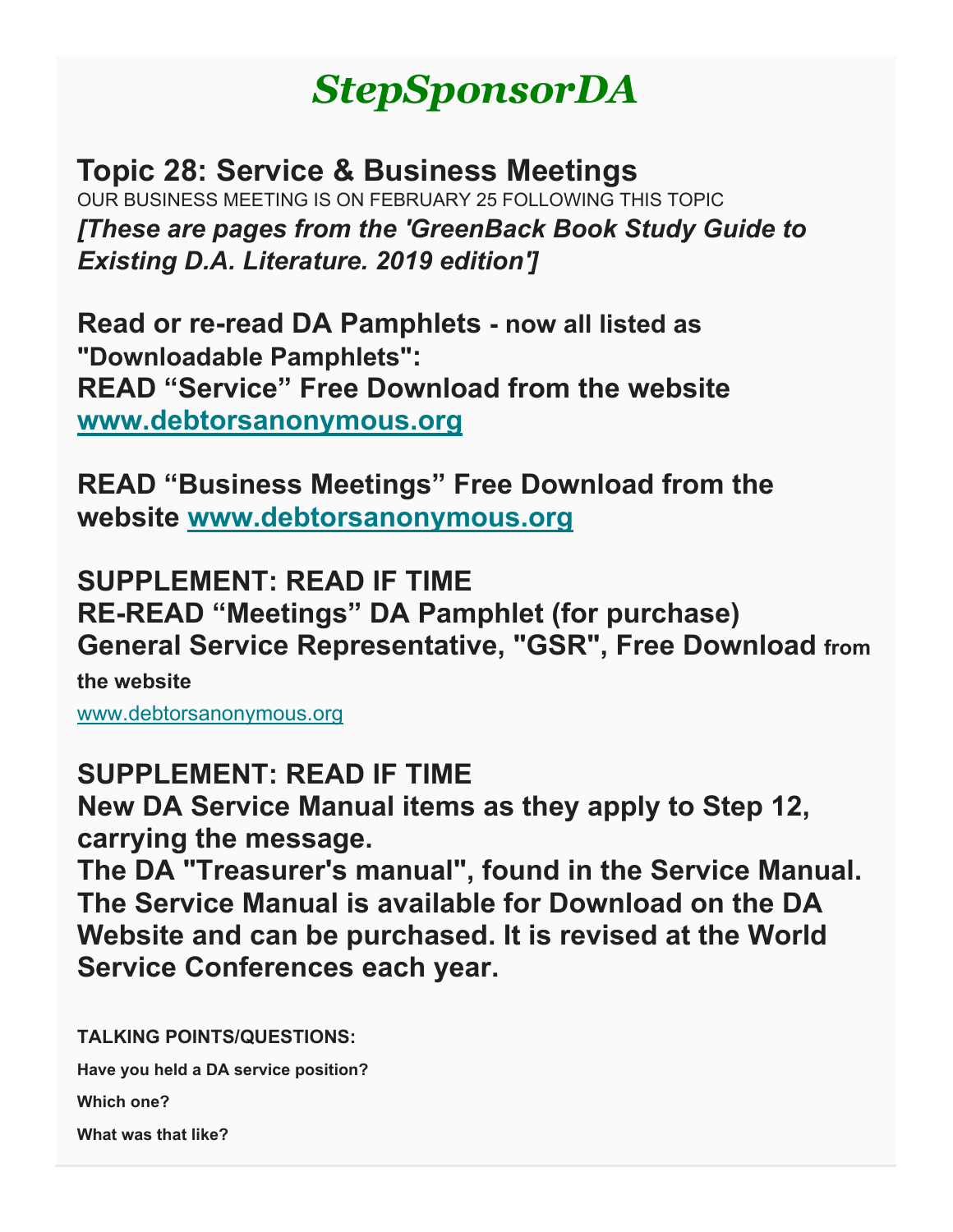# *StepSponsorDA*

**Topic 28: Service & Business Meetings** OUR BUSINESS MEETING IS ON FEBRUARY 25 FOLLOWING THIS TOPIC *[These are pages from the 'GreenBack Book Study Guide to Existing D.A. Literature. 2019 edition']*

**Read or re-read DA Pamphlets - now all listed as "Downloadable Pamphlets": READ "Service" Free Download from the website [www.debtorsanonymous.org](http://www.debtorsanonymous.org/)**

**READ "Business Meetings" Free Download from the website [www.debtorsanonymous.org](http://www.debtorsanonymous.org/)**

**SUPPLEMENT: READ IF TIME RE-READ "Meetings" DA Pamphlet (for purchase) General Service Representative, "GSR", Free Download from the website**

[www.debtorsanonymous.org](http://www.debtorsanonymous.org/)

# **SUPPLEMENT: READ IF TIME**

**New DA Service Manual items as they apply to Step 12, carrying the message.**

**The DA "Treasurer's manual", found in the Service Manual. The Service Manual is available for Download on the DA Website and can be purchased. It is revised at the World Service Conferences each year.**

**TALKING POINTS/QUESTIONS:**

**Have you held a DA service position?**

**Which one?**

**What was that like?**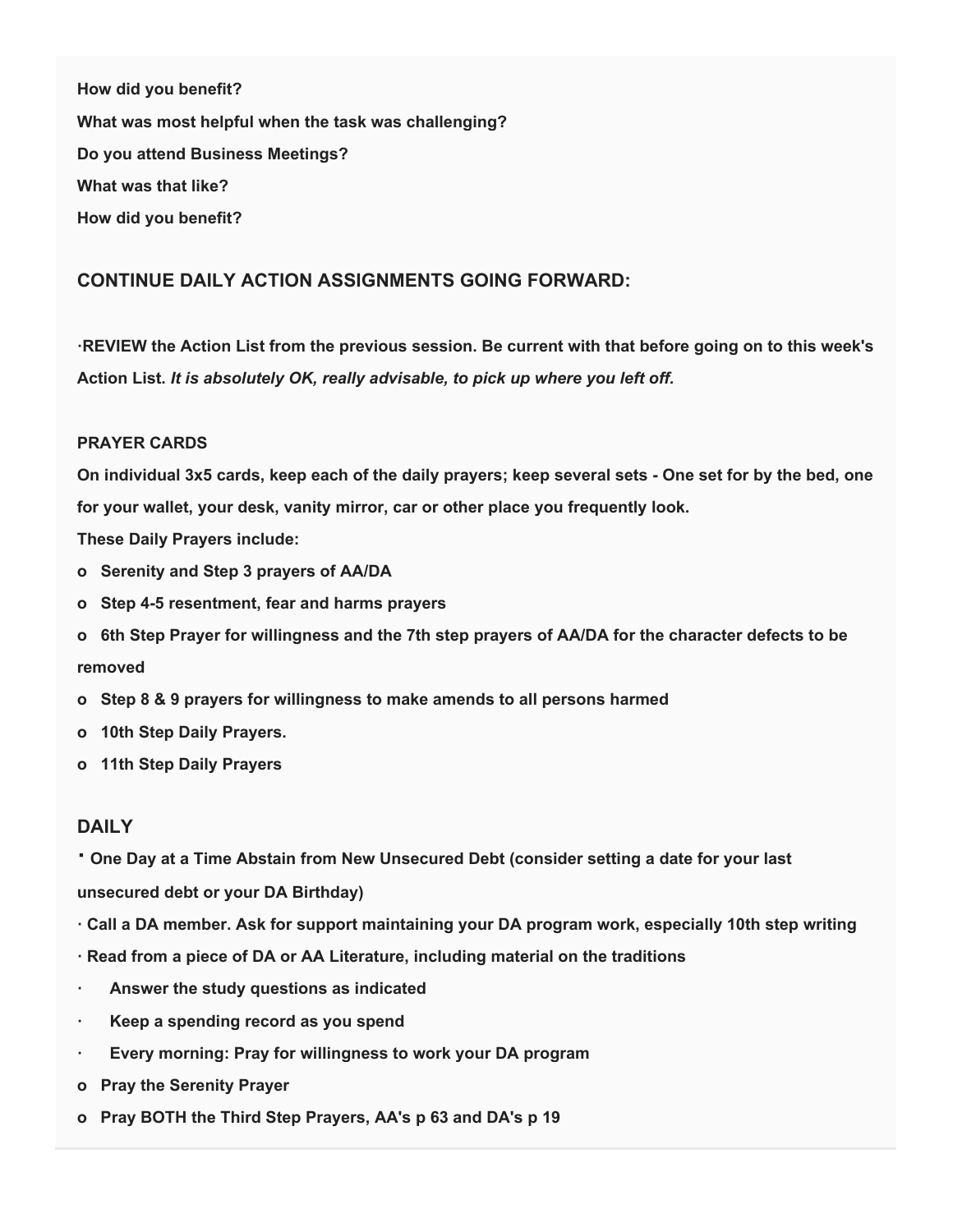**How did you benefit? What was most helpful when the task was challenging? Do you attend Business Meetings? What was that like? How did you benefit?**

#### **CONTINUE DAILY ACTION ASSIGNMENTS GOING FORWARD:**

**·REVIEW the Action List from the previous session. Be current with that before going on to this week's Action List.** *It is absolutely OK, really advisable, to pick up where you left off.*

#### **PRAYER CARDS**

**On individual 3x5 cards, keep each of the daily prayers; keep several sets - One set for by the bed, one for your wallet, your desk, vanity mirror, car or other place you frequently look.**

**These Daily Prayers include:**

- **o Serenity and Step 3 prayers of AA/DA**
- **o Step 4-5 resentment, fear and harms prayers**
- **o 6th Step Prayer for willingness and the 7th step prayers of AA/DA for the character defects to be removed**
- **o Step 8 & 9 prayers for willingness to make amends to all persons harmed**
- **o 10th Step Daily Prayers.**
- **o 11th Step Daily Prayers**

#### **DAILY**

**· One Day at a Time Abstain from New Unsecured Debt (consider setting a date for your last unsecured debt or your DA Birthday)**

- **· Call a DA member. Ask for support maintaining your DA program work, especially 10th step writing**
- **· Read from a piece of DA or AA Literature, including material on the traditions**
- **· Answer the study questions as indicated**
- **· Keep a spending record as you spend**
- **· Every morning: Pray for willingness to work your DA program**
- **o Pray the Serenity Prayer**
- **o Pray BOTH the Third Step Prayers, AA's p 63 and DA's p 19**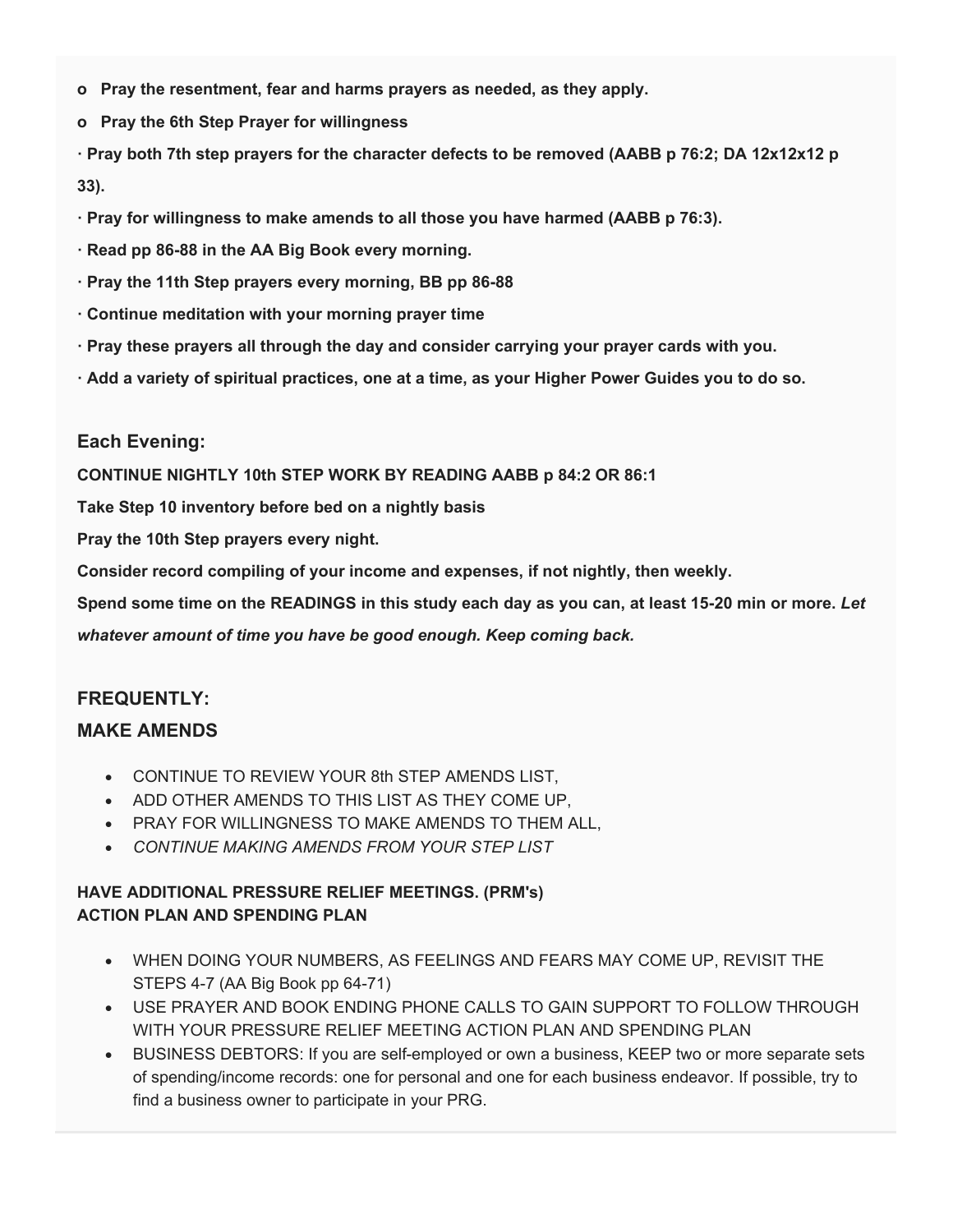- **o Pray the resentment, fear and harms prayers as needed, as they apply.**
- **o Pray the 6th Step Prayer for willingness**

**· Pray both 7th step prayers for the character defects to be removed (AABB p 76:2; DA 12x12x12 p 33).**

- **· Pray for willingness to make amends to all those you have harmed (AABB p 76:3).**
- **· Read pp 86-88 in the AA Big Book every morning.**
- **· Pray the 11th Step prayers every morning, BB pp 86-88**
- **· Continue meditation with your morning prayer time**
- **· Pray these prayers all through the day and consider carrying your prayer cards with you.**
- **· Add a variety of spiritual practices, one at a time, as your Higher Power Guides you to do so.**

#### **Each Evening:**

**CONTINUE NIGHTLY 10th STEP WORK BY READING AABB p 84:2 OR 86:1**

**Take Step 10 inventory before bed on a nightly basis**

**Pray the 10th Step prayers every night.**

**Consider record compiling of your income and expenses, if not nightly, then weekly.**

**Spend some time on the READINGS in this study each day as you can, at least 15-20 min or more.** *Let* 

*whatever amount of time you have be good enough. Keep coming back.*

#### **FREQUENTLY:**

### **MAKE AMENDS**

- CONTINUE TO REVIEW YOUR 8th STEP AMENDS LIST,
- ADD OTHER AMENDS TO THIS LIST AS THEY COME UP,
- PRAY FOR WILLINGNESS TO MAKE AMENDS TO THEM ALL,
- *CONTINUE MAKING AMENDS FROM YOUR STEP LIST*

#### **HAVE ADDITIONAL PRESSURE RELIEF MEETINGS. (PRM's) ACTION PLAN AND SPENDING PLAN**

- WHEN DOING YOUR NUMBERS, AS FEELINGS AND FEARS MAY COME UP, REVISIT THE STEPS 4-7 (AA Big Book pp 64-71)
- USE PRAYER AND BOOK ENDING PHONE CALLS TO GAIN SUPPORT TO FOLLOW THROUGH WITH YOUR PRESSURE RELIEF MEETING ACTION PLAN AND SPENDING PLAN
- BUSINESS DEBTORS: If you are self-employed or own a business, KEEP two or more separate sets of spending/income records: one for personal and one for each business endeavor. If possible, try to find a business owner to participate in your PRG.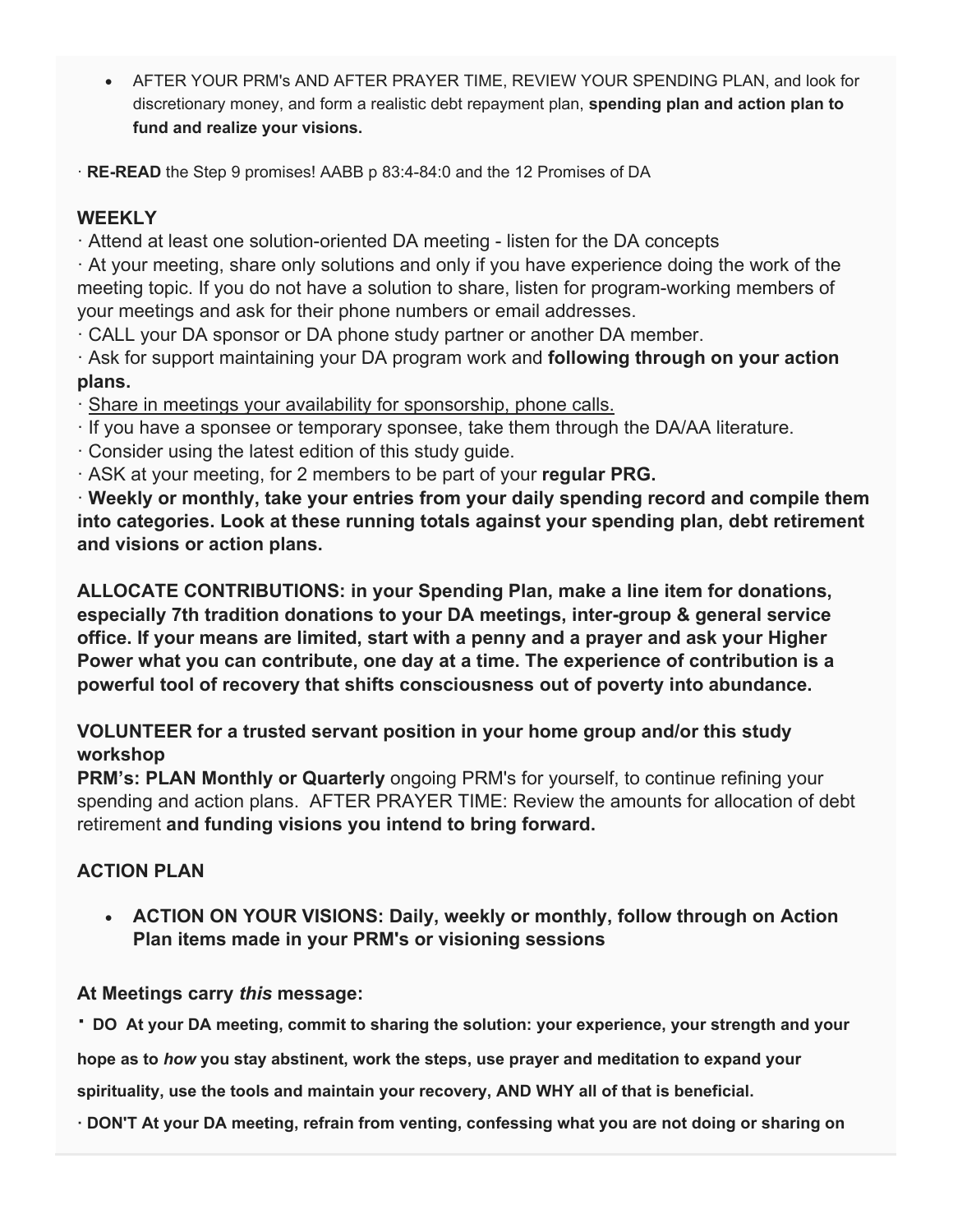• AFTER YOUR PRM's AND AFTER PRAYER TIME, REVIEW YOUR SPENDING PLAN, and look for discretionary money, and form a realistic debt repayment plan, **spending plan and action plan to fund and realize your visions.**

· **RE-READ** the Step 9 promises! AABB p 83:4-84:0 and the 12 Promises of DA

# **WEEKLY**

· Attend at least one solution-oriented DA meeting - listen for the DA concepts

· At your meeting, share only solutions and only if you have experience doing the work of the meeting topic. If you do not have a solution to share, listen for program-working members of your meetings and ask for their phone numbers or email addresses.

· CALL your DA sponsor or DA phone study partner or another DA member.

· Ask for support maintaining your DA program work and **following through on your action plans.**

· Share in meetings your availability for sponsorship, phone calls.

- · If you have a sponsee or temporary sponsee, take them through the DA/AA literature.
- · Consider using the latest edition of this study guide.

· ASK at your meeting, for 2 members to be part of your **regular PRG.**

· **Weekly or monthly, take your entries from your daily spending record and compile them into categories. Look at these running totals against your spending plan, debt retirement and visions or action plans.**

**ALLOCATE CONTRIBUTIONS: in your Spending Plan, make a line item for donations, especially 7th tradition donations to your DA meetings, inter-group & general service office. If your means are limited, start with a penny and a prayer and ask your Higher Power what you can contribute, one day at a time. The experience of contribution is a powerful tool of recovery that shifts consciousness out of poverty into abundance.**

# **VOLUNTEER for a trusted servant position in your home group and/or this study workshop**

**PRM's: PLAN Monthly or Quarterly** ongoing PRM's for yourself, to continue refining your spending and action plans. AFTER PRAYER TIME: Review the amounts for allocation of debt retirement **and funding visions you intend to bring forward.**

# **ACTION PLAN**

• **ACTION ON YOUR VISIONS: Daily, weekly or monthly, follow through on Action Plan items made in your PRM's or visioning sessions**

# **At Meetings carry** *this* **message:**

**· DO At your DA meeting, commit to sharing the solution: your experience, your strength and your** 

**hope as to** *how* **you stay abstinent, work the steps, use prayer and meditation to expand your** 

**spirituality, use the tools and maintain your recovery, AND WHY all of that is beneficial.**

**· DON'T At your DA meeting, refrain from venting, confessing what you are not doing or sharing on**